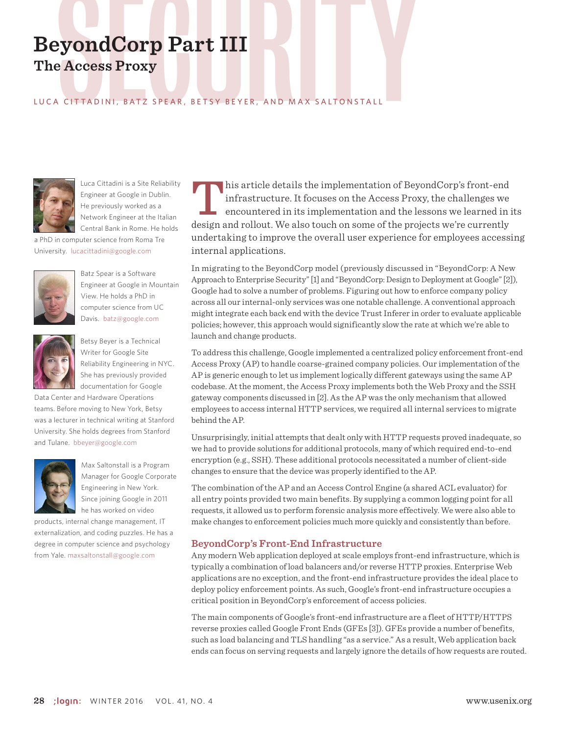# BeyondCorp Part III<br>The Access Proxy<br>LUCA CITTADINI, BATZ SPEAR, BETSY BEYER, AND MAX SALTONSTALL **The Access Proxy**

# LUCA CITTADINI, BATZ SPEAR , BETSY BEYER , AND MAX SALTONSTALL



Luca Cittadini is a Site Reliability Engineer at Google in Dublin. He previously worked as a Network Engineer at the Italian Central Bank in Rome. He holds

a PhD in computer science from Roma Tre University. lucacittadini@google.com



Batz Spear is a Software Engineer at Google in Mountain View. He holds a PhD in computer science from UC Davis. batz@google.com



Betsy Beyer is a Technical Writer for Google Site Reliability Engineering in NYC. She has previously provided documentation for Google

Data Center and Hardware Operations teams. Before moving to New York, Betsy was a lecturer in technical writing at Stanford University. She holds degrees from Stanford and Tulane. bbeyer@google.com



Max Saltonstall is a Program Manager for Google Corporate Engineering in New York. Since joining Google in 2011 he has worked on video

products, internal change management, IT externalization, and coding puzzles. He has a degree in computer science and psychology from Yale. maxsaltonstall@google.com

**This article details the implementation of BeyondCorp's front-end** infrastructure. It focuses on the Access Proxy, the challenges we encountered in its implementation and the lessons we learned in its design and rollout. We also touch on some of the projects we're currently undertaking to improve the overall user experience for employees accessing internal applications.

In migrating to the BeyondCorp model (previously discussed in "BeyondCorp: A New Approach to Enterprise Security" [1] and "BeyondCorp: Design to Deployment at Google" [2]), Google had to solve a number of problems. Figuring out how to enforce company policy across all our internal-only services was one notable challenge. A conventional approach might integrate each back end with the device Trust Inferer in order to evaluate applicable policies; however, this approach would significantly slow the rate at which we're able to launch and change products.

To address this challenge, Google implemented a centralized policy enforcement front-end Access Proxy (AP) to handle coarse-grained company policies. Our implementation of the AP is generic enough to let us implement logically different gateways using the same AP codebase. At the moment, the Access Proxy implements both the Web Proxy and the SSH gateway components discussed in [2]. As the AP was the only mechanism that allowed employees to access internal HTTP services, we required all internal services to migrate behind the AP.

Unsurprisingly, initial attempts that dealt only with HTTP requests proved inadequate, so we had to provide solutions for additional protocols, many of which required end-to-end encryption (e.g., SSH). These additional protocols necessitated a number of client-side changes to ensure that the device was properly identified to the AP.

The combination of the AP and an Access Control Engine (a shared ACL evaluator) for all entry points provided two main benefits. By supplying a common logging point for all requests, it allowed us to perform forensic analysis more effectively. We were also able to make changes to enforcement policies much more quickly and consistently than before.

# **BeyondCorp's Front-End Infrastructure**

Any modern Web application deployed at scale employs front-end infrastructure, which is typically a combination of load balancers and/or reverse HTTP proxies. Enterprise Web applications are no exception, and the front-end infrastructure provides the ideal place to deploy policy enforcement points. As such, Google's front-end infrastructure occupies a critical position in BeyondCorp's enforcement of access policies.

The main components of Google's front-end infrastructure are a fleet of HTTP/HTTPS reverse proxies called Google Front Ends (GFEs [3]). GFEs provide a number of benefits, such as load balancing and TLS handling "as a service." As a result, Web application back ends can focus on serving requests and largely ignore the details of how requests are routed.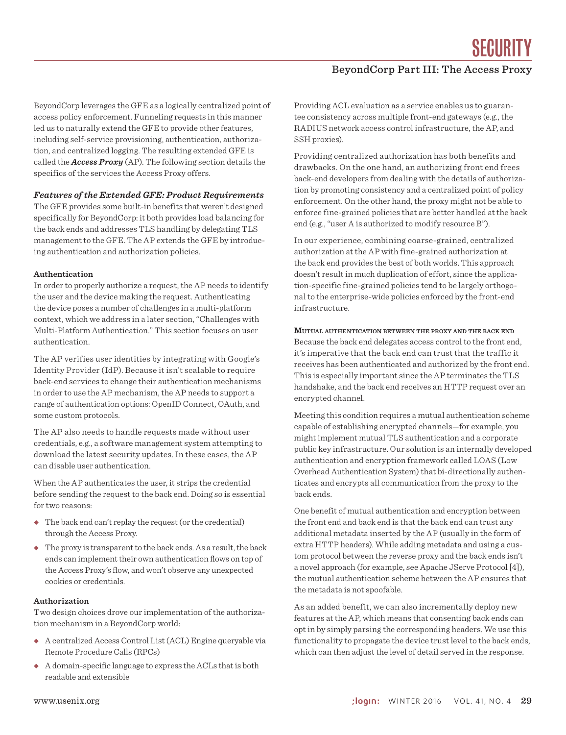SECURITY

# BeyondCorp Part III: The Access Proxy

BeyondCorp leverages the GFE as a logically centralized point of access policy enforcement. Funneling requests in this manner led us to naturally extend the GFE to provide other features, including self-service provisioning, authentication, authorization, and centralized logging. The resulting extended GFE is called the *Access Proxy* (AP). The following section details the specifics of the services the Access Proxy offers.

#### *Features of the Extended GFE: Product Requirements*

The GFE provides some built-in benefits that weren't designed specifically for BeyondCorp: it both provides load balancing for the back ends and addresses TLS handling by delegating TLS management to the GFE. The AP extends the GFE by introducing authentication and authorization policies.

#### **Authentication**

In order to properly authorize a request, the AP needs to identify the user and the device making the request. Authenticating the device poses a number of challenges in a multi-platform context, which we address in a later section, "Challenges with Multi-Platform Authentication." This section focuses on user authentication.

The AP verifies user identities by integrating with Google's Identity Provider (IdP). Because it isn't scalable to require back-end services to change their authentication mechanisms in order to use the AP mechanism, the AP needs to support a range of authentication options: OpenID Connect, OAuth, and some custom protocols.

The AP also needs to handle requests made without user credentials, e.g., a software management system attempting to download the latest security updates. In these cases, the AP can disable user authentication.

When the AP authenticates the user, it strips the credential before sending the request to the back end. Doing so is essential for two reasons:

- ◆ The back end can't replay the request (or the credential) through the Access Proxy.
- $\triangle$  The proxy is transparent to the back ends. As a result, the back ends can implement their own authentication flows on top of the Access Proxy's flow, and won't observe any unexpected cookies or credentials.

### **Authorization**

Two design choices drove our implementation of the authorization mechanism in a BeyondCorp world:

- ◆ A centralized Access Control List (ACL) Engine queryable via Remote Procedure Calls (RPCs)
- ◆ A domain-specific language to express the ACLs that is both readable and extensible

Providing ACL evaluation as a service enables us to guarantee consistency across multiple front-end gateways (e.g., the RADIUS network access control infrastructure, the AP, and SSH proxies).

Providing centralized authorization has both benefits and drawbacks. On the one hand, an authorizing front end frees back-end developers from dealing with the details of authorization by promoting consistency and a centralized point of policy enforcement. On the other hand, the proxy might not be able to enforce fine-grained policies that are better handled at the back end (e.g., "user A is authorized to modify resource B").

In our experience, combining coarse-grained, centralized authorization at the AP with fine-grained authorization at the back end provides the best of both worlds. This approach doesn't result in much duplication of effort, since the application-specific fine-grained policies tend to be largely orthogonal to the enterprise-wide policies enforced by the front-end infrastructure.

# **Mutual authentication between the proxy and the back end** Because the back end delegates access control to the front end, it's imperative that the back end can trust that the traffic it receives has been authenticated and authorized by the front end. This is especially important since the AP terminates the TLS handshake, and the back end receives an HTTP request over an

encrypted channel.

Meeting this condition requires a mutual authentication scheme capable of establishing encrypted channels—for example, you might implement mutual TLS authentication and a corporate public key infrastructure. Our solution is an internally developed authentication and encryption framework called LOAS (Low Overhead Authentication System) that bi-directionally authenticates and encrypts all communication from the proxy to the back ends.

One benefit of mutual authentication and encryption between the front end and back end is that the back end can trust any additional metadata inserted by the AP (usually in the form of extra HTTP headers). While adding metadata and using a custom protocol between the reverse proxy and the back ends isn't a novel approach (for example, see Apache JServe Protocol [4]), the mutual authentication scheme between the AP ensures that the metadata is not spoofable.

As an added benefit, we can also incrementally deploy new features at the AP, which means that consenting back ends can opt in by simply parsing the corresponding headers. We use this functionality to propagate the device trust level to the back ends, which can then adjust the level of detail served in the response.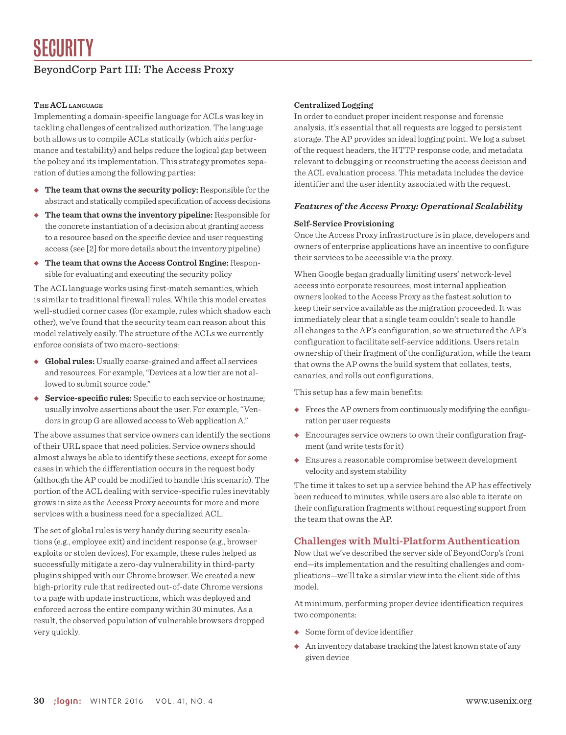# BeyondCorp Part III: The Access Proxy

## **The ACL language**

Implementing a domain-specific language for ACLs was key in tackling challenges of centralized authorization. The language both allows us to compile ACLs statically (which aids performance and testability) and helps reduce the logical gap between the policy and its implementation. This strategy promotes separation of duties among the following parties:

- ◆ **The team that owns the security policy:** Responsible for the abstract and statically compiled specification of access decisions
- ◆ **The team that owns the inventory pipeline:** Responsible for the concrete instantiation of a decision about granting access to a resource based on the specific device and user requesting access (see [2] for more details about the inventory pipeline)
- ◆ **The team that owns the Access Control Engine:** Responsible for evaluating and executing the security policy

The ACL language works using first-match semantics, which is similar to traditional firewall rules. While this model creates well-studied corner cases (for example, rules which shadow each other), we've found that the security team can reason about this model relatively easily. The structure of the ACLs we currently enforce consists of two macro-sections:

- ◆ **Global rules:** Usually coarse-grained and affect all services and resources. For example, "Devices at a low tier are not allowed to submit source code."
- ◆ **Service-specific rules:** Specific to each service or hostname; usually involve assertions about the user. For example, "Vendors in group G are allowed access to Web application A."

The above assumes that service owners can identify the sections of their URL space that need policies. Service owners should almost always be able to identify these sections, except for some cases in which the differentiation occurs in the request body (although the AP could be modified to handle this scenario). The portion of the ACL dealing with service-specific rules inevitably grows in size as the Access Proxy accounts for more and more services with a business need for a specialized ACL.

The set of global rules is very handy during security escalations (e.g., employee exit) and incident response (e.g., browser exploits or stolen devices). For example, these rules helped us successfully mitigate a zero-day vulnerability in third-party plugins shipped with our Chrome browser. We created a new high-priority rule that redirected out-of-date Chrome versions to a page with update instructions, which was deployed and enforced across the entire company within 30 minutes. As a result, the observed population of vulnerable browsers dropped very quickly.

# **Centralized Logging**

In order to conduct proper incident response and forensic analysis, it's essential that all requests are logged to persistent storage. The AP provides an ideal logging point. We log a subset of the request headers, the HTTP response code, and metadata relevant to debugging or reconstructing the access decision and the ACL evaluation process. This metadata includes the device identifier and the user identity associated with the request.

#### *Features of the Access Proxy: Operational Scalability*

#### **Self-Service Provisioning**

Once the Access Proxy infrastructure is in place, developers and owners of enterprise applications have an incentive to configure their services to be accessible via the proxy.

When Google began gradually limiting users' network-level access into corporate resources, most internal application owners looked to the Access Proxy as the fastest solution to keep their service available as the migration proceeded. It was immediately clear that a single team couldn't scale to handle all changes to the AP's configuration, so we structured the AP's configuration to facilitate self-service additions. Users retain ownership of their fragment of the configuration, while the team that owns the AP owns the build system that collates, tests, canaries, and rolls out configurations.

This setup has a few main benefits:

- ◆ Frees the AP owners from continuously modifying the configuration per user requests
- ◆ Encourages service owners to own their configuration fragment (and write tests for it)
- ◆ Ensures a reasonable compromise between development velocity and system stability

The time it takes to set up a service behind the AP has effectively been reduced to minutes, while users are also able to iterate on their configuration fragments without requesting support from the team that owns the AP.

#### **Challenges with Multi-Platform Authentication**

Now that we've described the server side of BeyondCorp's front end—its implementation and the resulting challenges and complications—we'll take a similar view into the client side of this model.

At minimum, performing proper device identification requires two components:

- ◆ Some form of device identifier
- ◆ An inventory database tracking the latest known state of any given device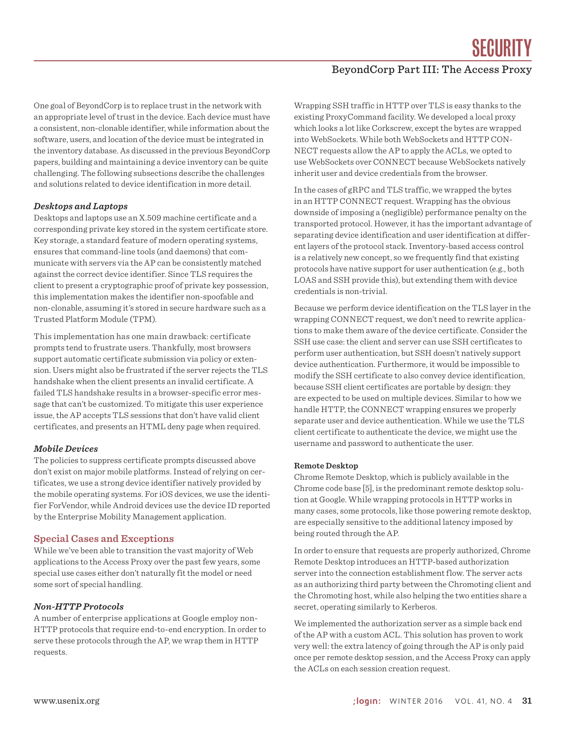SECIIRITY

# BeyondCorp Part III: The Access Proxy

One goal of BeyondCorp is to replace trust in the network with an appropriate level of trust in the device. Each device must have a consistent, non-clonable identifier, while information about the software, users, and location of the device must be integrated in the inventory database. As discussed in the previous BeyondCorp papers, building and maintaining a device inventory can be quite challenging. The following subsections describe the challenges and solutions related to device identification in more detail.

#### *Desktops and Laptops*

Desktops and laptops use an X.509 machine certificate and a corresponding private key stored in the system certificate store. Key storage, a standard feature of modern operating systems, ensures that command-line tools (and daemons) that communicate with servers via the AP can be consistently matched against the correct device identifier. Since TLS requires the client to present a cryptographic proof of private key possession, this implementation makes the identifier non-spoofable and non-clonable, assuming it's stored in secure hardware such as a Trusted Platform Module (TPM).

This implementation has one main drawback: certificate prompts tend to frustrate users. Thankfully, most browsers support automatic certificate submission via policy or extension. Users might also be frustrated if the server rejects the TLS handshake when the client presents an invalid certificate. A failed TLS handshake results in a browser-specific error message that can't be customized. To mitigate this user experience issue, the AP accepts TLS sessions that don't have valid client certificates, and presents an HTML deny page when required.

#### *Mobile Devices*

The policies to suppress certificate prompts discussed above don't exist on major mobile platforms. Instead of relying on certificates, we use a strong device identifier natively provided by the mobile operating systems. For iOS devices, we use the identifier ForVendor, while Android devices use the device ID reported by the Enterprise Mobility Management application.

# **Special Cases and Exceptions**

While we've been able to transition the vast majority of Web applications to the Access Proxy over the past few years, some special use cases either don't naturally fit the model or need some sort of special handling.

# *Non-HTTP Protocols*

A number of enterprise applications at Google employ non-HTTP protocols that require end-to-end encryption. In order to serve these protocols through the AP, we wrap them in HTTP requests.

Wrapping SSH traffic in HTTP over TLS is easy thanks to the existing ProxyCommand facility. We developed a local proxy which looks a lot like Corkscrew, except the bytes are wrapped into WebSockets. While both WebSockets and HTTP CON-NECT requests allow the AP to apply the ACLs, we opted to use WebSockets over CONNECT because WebSockets natively inherit user and device credentials from the browser.

In the cases of gRPC and TLS traffic, we wrapped the bytes in an HTTP CONNECT request. Wrapping has the obvious downside of imposing a (negligible) performance penalty on the transported protocol. However, it has the important advantage of separating device identification and user identification at different layers of the protocol stack. Inventory-based access control is a relatively new concept, so we frequently find that existing protocols have native support for user authentication (e.g., both LOAS and SSH provide this), but extending them with device credentials is non-trivial.

Because we perform device identification on the TLS layer in the wrapping CONNECT request, we don't need to rewrite applications to make them aware of the device certificate. Consider the SSH use case: the client and server can use SSH certificates to perform user authentication, but SSH doesn't natively support device authentication. Furthermore, it would be impossible to modify the SSH certificate to also convey device identification, because SSH client certificates are portable by design: they are expected to be used on multiple devices. Similar to how we handle HTTP, the CONNECT wrapping ensures we properly separate user and device authentication. While we use the TLS client certificate to authenticate the device, we might use the username and password to authenticate the user.

#### **Remote Desktop**

Chrome Remote Desktop, which is publicly available in the Chrome code base [5], is the predominant remote desktop solution at Google. While wrapping protocols in HTTP works in many cases, some protocols, like those powering remote desktop, are especially sensitive to the additional latency imposed by being routed through the AP.

In order to ensure that requests are properly authorized, Chrome Remote Desktop introduces an HTTP-based authorization server into the connection establishment flow. The server acts as an authorizing third party between the Chromoting client and the Chromoting host, while also helping the two entities share a secret, operating similarly to Kerberos.

We implemented the authorization server as a simple back end of the AP with a custom ACL. This solution has proven to work very well: the extra latency of going through the AP is only paid once per remote desktop session, and the Access Proxy can apply the ACLs on each session creation request.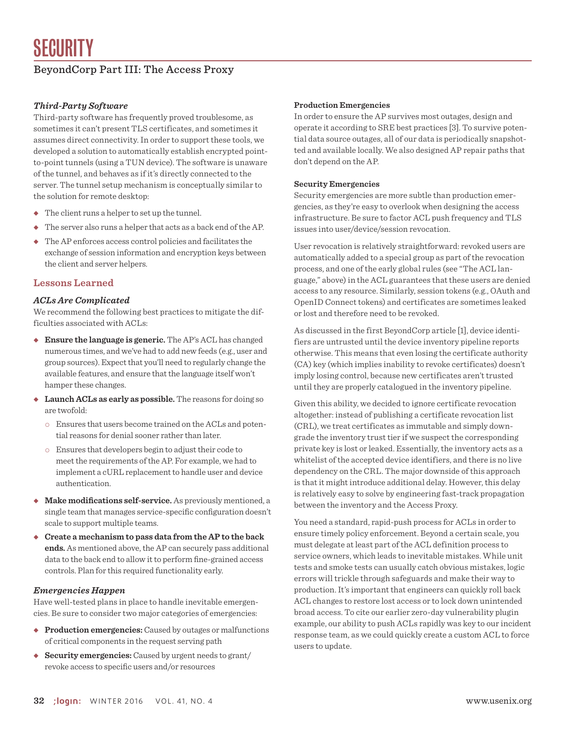# BeyondCorp Part III: The Access Proxy

# *Third-Party Software*

Third-party software has frequently proved troublesome, as sometimes it can't present TLS certificates, and sometimes it assumes direct connectivity. In order to support these tools, we developed a solution to automatically establish encrypted pointto-point tunnels (using a TUN device). The software is unaware of the tunnel, and behaves as if it's directly connected to the server. The tunnel setup mechanism is conceptually similar to the solution for remote desktop:

- ◆ The client runs a helper to set up the tunnel.
- ◆ The server also runs a helper that acts as a back end of the AP.
- ◆ The AP enforces access control policies and facilitates the exchange of session information and encryption keys between the client and server helpers.

# **Lessons Learned**

# *ACLs Are Complicated*

We recommend the following best practices to mitigate the difficulties associated with ACLs:

- ◆ **Ensure the language is generic.** The AP's ACL has changed numerous times, and we've had to add new feeds (e.g., user and group sources). Expect that you'll need to regularly change the available features, and ensure that the language itself won't hamper these changes.
- ◆ **Launch ACLs as early as possible.** The reasons for doing so are twofold:
	- Ensures that users become trained on the ACLs and potential reasons for denial sooner rather than later.
	- Ensures that developers begin to adjust their code to meet the requirements of the AP. For example, we had to implement a cURL replacement to handle user and device authentication.
- ◆ **Make modifications self-service.** As previously mentioned, a single team that manages service-specific configuration doesn't scale to support multiple teams.
- ◆ **Create a mechanism to pass data from the AP to the back ends.** As mentioned above, the AP can securely pass additional data to the back end to allow it to perform fine-grained access controls. Plan for this required functionality early.

# *Emergencies Happen*

Have well-tested plans in place to handle inevitable emergencies. Be sure to consider two major categories of emergencies:

- ◆ **Production emergencies:** Caused by outages or malfunctions of critical components in the request serving path
- ◆ **Security emergencies:** Caused by urgent needs to grant/ revoke access to specific users and/or resources

### **Production Emergencies**

In order to ensure the AP survives most outages, design and operate it according to SRE best practices [3]. To survive potential data source outages, all of our data is periodically snapshotted and available locally. We also designed AP repair paths that don't depend on the AP.

#### **Security Emergencies**

Security emergencies are more subtle than production emergencies, as they're easy to overlook when designing the access infrastructure. Be sure to factor ACL push frequency and TLS issues into user/device/session revocation.

User revocation is relatively straightforward: revoked users are automatically added to a special group as part of the revocation process, and one of the early global rules (see "The ACL language," above) in the ACL guarantees that these users are denied access to any resource. Similarly, session tokens (e.g., OAuth and OpenID Connect tokens) and certificates are sometimes leaked or lost and therefore need to be revoked.

As discussed in the first BeyondCorp article [1], device identifiers are untrusted until the device inventory pipeline reports otherwise. This means that even losing the certificate authority (CA) key (which implies inability to revoke certificates) doesn't imply losing control, because new certificates aren't trusted until they are properly catalogued in the inventory pipeline.

Given this ability, we decided to ignore certificate revocation altogether: instead of publishing a certificate revocation list (CRL), we treat certificates as immutable and simply downgrade the inventory trust tier if we suspect the corresponding private key is lost or leaked. Essentially, the inventory acts as a whitelist of the accepted device identifiers, and there is no live dependency on the CRL. The major downside of this approach is that it might introduce additional delay. However, this delay is relatively easy to solve by engineering fast-track propagation between the inventory and the Access Proxy.

You need a standard, rapid-push process for ACLs in order to ensure timely policy enforcement. Beyond a certain scale, you must delegate at least part of the ACL definition process to service owners, which leads to inevitable mistakes. While unit tests and smoke tests can usually catch obvious mistakes, logic errors will trickle through safeguards and make their way to production. It's important that engineers can quickly roll back ACL changes to restore lost access or to lock down unintended broad access. To cite our earlier zero-day vulnerability plugin example, our ability to push ACLs rapidly was key to our incident response team, as we could quickly create a custom ACL to force users to update.